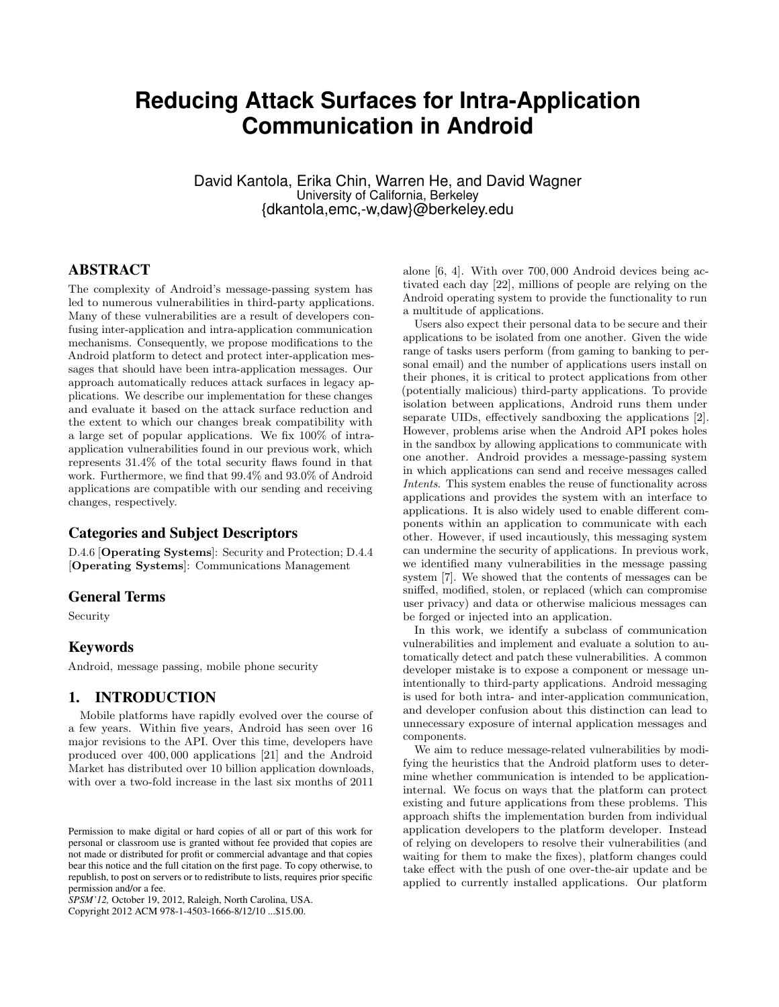# **Reducing Attack Surfaces for Intra-Application Communication in Android**

David Kantola, Erika Chin, Warren He, and David Wagner University of California, Berkeley {dkantola,emc,-w,daw}@berkeley.edu

# ABSTRACT

The complexity of Android's message-passing system has led to numerous vulnerabilities in third-party applications. Many of these vulnerabilities are a result of developers confusing inter-application and intra-application communication mechanisms. Consequently, we propose modifications to the Android platform to detect and protect inter-application messages that should have been intra-application messages. Our approach automatically reduces attack surfaces in legacy applications. We describe our implementation for these changes and evaluate it based on the attack surface reduction and the extent to which our changes break compatibility with a large set of popular applications. We fix 100% of intraapplication vulnerabilities found in our previous work, which represents 31.4% of the total security flaws found in that work. Furthermore, we find that 99.4% and 93.0% of Android applications are compatible with our sending and receiving changes, respectively.

# Categories and Subject Descriptors

D.4.6 [Operating Systems]: Security and Protection; D.4.4 [Operating Systems]: Communications Management

#### General Terms

Security

### Keywords

Android, message passing, mobile phone security

#### 1. INTRODUCTION

Mobile platforms have rapidly evolved over the course of a few years. Within five years, Android has seen over 16 major revisions to the API. Over this time, developers have produced over 400, 000 applications [21] and the Android Market has distributed over 10 billion application downloads, with over a two-fold increase in the last six months of 2011

Copyright 2012 ACM 978-1-4503-1666-8/12/10 ...\$15.00.

alone [6, 4]. With over 700, 000 Android devices being activated each day [22], millions of people are relying on the Android operating system to provide the functionality to run a multitude of applications.

Users also expect their personal data to be secure and their applications to be isolated from one another. Given the wide range of tasks users perform (from gaming to banking to personal email) and the number of applications users install on their phones, it is critical to protect applications from other (potentially malicious) third-party applications. To provide isolation between applications, Android runs them under separate UIDs, effectively sandboxing the applications [2]. However, problems arise when the Android API pokes holes in the sandbox by allowing applications to communicate with one another. Android provides a message-passing system in which applications can send and receive messages called Intents. This system enables the reuse of functionality across applications and provides the system with an interface to applications. It is also widely used to enable different components within an application to communicate with each other. However, if used incautiously, this messaging system can undermine the security of applications. In previous work, we identified many vulnerabilities in the message passing system [7]. We showed that the contents of messages can be sniffed, modified, stolen, or replaced (which can compromise user privacy) and data or otherwise malicious messages can be forged or injected into an application.

In this work, we identify a subclass of communication vulnerabilities and implement and evaluate a solution to automatically detect and patch these vulnerabilities. A common developer mistake is to expose a component or message unintentionally to third-party applications. Android messaging is used for both intra- and inter-application communication, and developer confusion about this distinction can lead to unnecessary exposure of internal application messages and components.

We aim to reduce message-related vulnerabilities by modifying the heuristics that the Android platform uses to determine whether communication is intended to be applicationinternal. We focus on ways that the platform can protect existing and future applications from these problems. This approach shifts the implementation burden from individual application developers to the platform developer. Instead of relying on developers to resolve their vulnerabilities (and waiting for them to make the fixes), platform changes could take effect with the push of one over-the-air update and be applied to currently installed applications. Our platform

Permission to make digital or hard copies of all or part of this work for personal or classroom use is granted without fee provided that copies are not made or distributed for profit or commercial advantage and that copies bear this notice and the full citation on the first page. To copy otherwise, to republish, to post on servers or to redistribute to lists, requires prior specific permission and/or a fee.

*SPSM'12,* October 19, 2012, Raleigh, North Carolina, USA.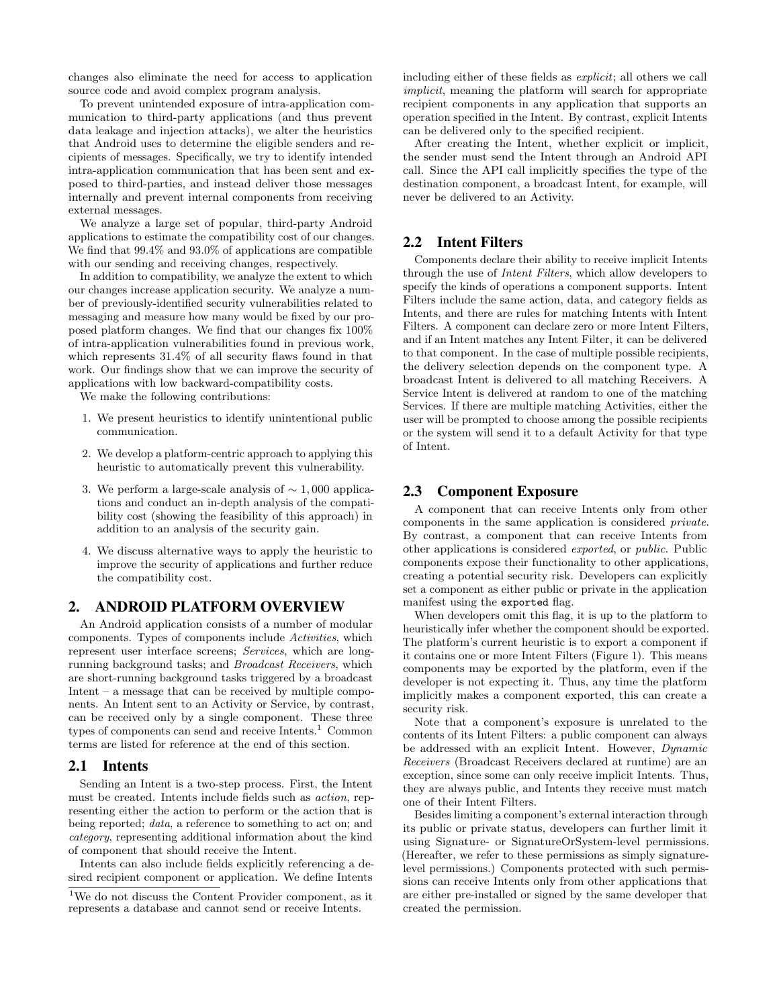changes also eliminate the need for access to application source code and avoid complex program analysis.

To prevent unintended exposure of intra-application communication to third-party applications (and thus prevent data leakage and injection attacks), we alter the heuristics that Android uses to determine the eligible senders and recipients of messages. Specifically, we try to identify intended intra-application communication that has been sent and exposed to third-parties, and instead deliver those messages internally and prevent internal components from receiving external messages.

We analyze a large set of popular, third-party Android applications to estimate the compatibility cost of our changes. We find that 99.4% and 93.0% of applications are compatible with our sending and receiving changes, respectively.

In addition to compatibility, we analyze the extent to which our changes increase application security. We analyze a number of previously-identified security vulnerabilities related to messaging and measure how many would be fixed by our proposed platform changes. We find that our changes fix 100% of intra-application vulnerabilities found in previous work, which represents 31.4% of all security flaws found in that work. Our findings show that we can improve the security of applications with low backward-compatibility costs.

We make the following contributions:

- 1. We present heuristics to identify unintentional public communication.
- 2. We develop a platform-centric approach to applying this heuristic to automatically prevent this vulnerability.
- 3. We perform a large-scale analysis of ∼ 1, 000 applications and conduct an in-depth analysis of the compatibility cost (showing the feasibility of this approach) in addition to an analysis of the security gain.
- 4. We discuss alternative ways to apply the heuristic to improve the security of applications and further reduce the compatibility cost.

## 2. ANDROID PLATFORM OVERVIEW

An Android application consists of a number of modular components. Types of components include Activities, which represent user interface screens; Services, which are longrunning background tasks; and Broadcast Receivers, which are short-running background tasks triggered by a broadcast Intent – a message that can be received by multiple components. An Intent sent to an Activity or Service, by contrast, can be received only by a single component. These three types of components can send and receive  ${\rm Intents.}^1$  Common terms are listed for reference at the end of this section.

## 2.1 Intents

Sending an Intent is a two-step process. First, the Intent must be created. Intents include fields such as action, representing either the action to perform or the action that is being reported; data, a reference to something to act on; and category, representing additional information about the kind of component that should receive the Intent.

Intents can also include fields explicitly referencing a desired recipient component or application. We define Intents

including either of these fields as explicit; all others we call implicit, meaning the platform will search for appropriate recipient components in any application that supports an operation specified in the Intent. By contrast, explicit Intents can be delivered only to the specified recipient.

After creating the Intent, whether explicit or implicit, the sender must send the Intent through an Android API call. Since the API call implicitly specifies the type of the destination component, a broadcast Intent, for example, will never be delivered to an Activity.

#### 2.2 Intent Filters

Components declare their ability to receive implicit Intents through the use of Intent Filters, which allow developers to specify the kinds of operations a component supports. Intent Filters include the same action, data, and category fields as Intents, and there are rules for matching Intents with Intent Filters. A component can declare zero or more Intent Filters, and if an Intent matches any Intent Filter, it can be delivered to that component. In the case of multiple possible recipients, the delivery selection depends on the component type. A broadcast Intent is delivered to all matching Receivers. A Service Intent is delivered at random to one of the matching Services. If there are multiple matching Activities, either the user will be prompted to choose among the possible recipients or the system will send it to a default Activity for that type of Intent.

### 2.3 Component Exposure

A component that can receive Intents only from other components in the same application is considered private. By contrast, a component that can receive Intents from other applications is considered exported, or public. Public components expose their functionality to other applications, creating a potential security risk. Developers can explicitly set a component as either public or private in the application manifest using the exported flag.

When developers omit this flag, it is up to the platform to heuristically infer whether the component should be exported. The platform's current heuristic is to export a component if it contains one or more Intent Filters (Figure 1). This means components may be exported by the platform, even if the developer is not expecting it. Thus, any time the platform implicitly makes a component exported, this can create a security risk.

Note that a component's exposure is unrelated to the contents of its Intent Filters: a public component can always be addressed with an explicit Intent. However, Dynamic Receivers (Broadcast Receivers declared at runtime) are an exception, since some can only receive implicit Intents. Thus, they are always public, and Intents they receive must match one of their Intent Filters.

Besides limiting a component's external interaction through its public or private status, developers can further limit it using Signature- or SignatureOrSystem-level permissions. (Hereafter, we refer to these permissions as simply signaturelevel permissions.) Components protected with such permissions can receive Intents only from other applications that are either pre-installed or signed by the same developer that created the permission.

<sup>1</sup>We do not discuss the Content Provider component, as it represents a database and cannot send or receive Intents.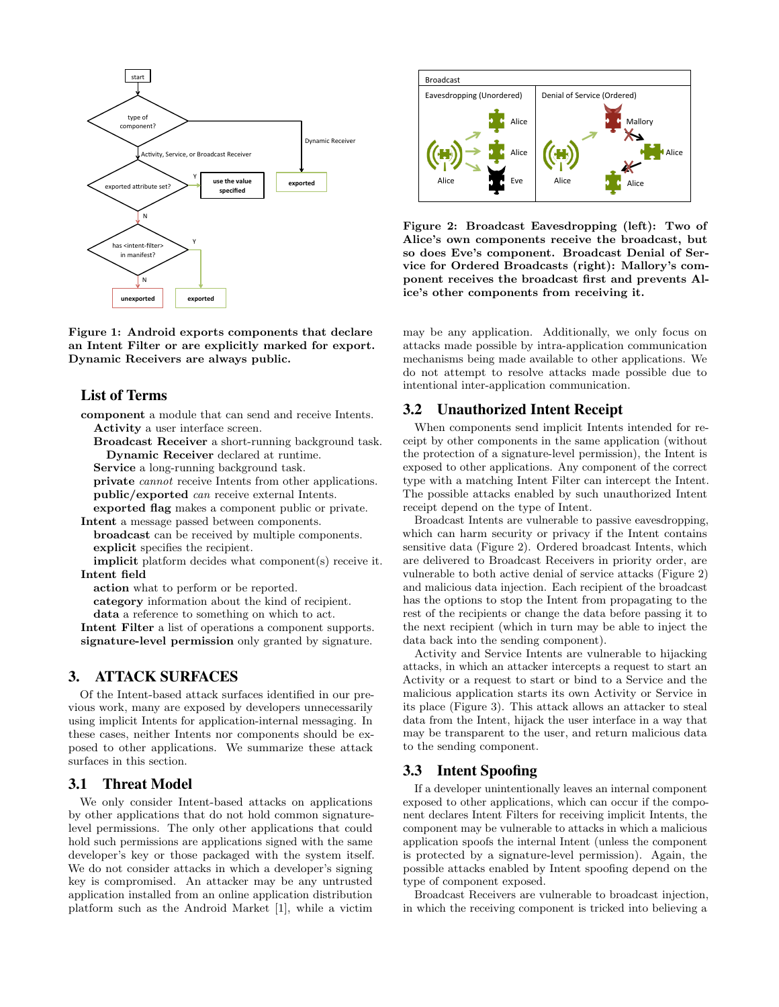

Figure 1: Android exports components that declare an Intent Filter or are explicitly marked for export. Dynamic Receivers are always public.

## List of Terms

- component a module that can send and receive Intents. Activity a user interface screen.
	- Broadcast Receiver a short-running background task. Dynamic Receiver declared at runtime.
	- Service a long-running background task.

private *cannot* receive Intents from other applications. public/exported can receive external Intents.

exported flag makes a component public or private. Intent a message passed between components.

broadcast can be received by multiple components. explicit specifies the recipient.

implicit platform decides what component(s) receive it. Intent field

action what to perform or be reported.

category information about the kind of recipient.

data a reference to something on which to act.

Intent Filter a list of operations a component supports. signature-level permission only granted by signature.

# 3. ATTACK SURFACES

Of the Intent-based attack surfaces identified in our previous work, many are exposed by developers unnecessarily using implicit Intents for application-internal messaging. In these cases, neither Intents nor components should be exposed to other applications. We summarize these attack surfaces in this section.

### 3.1 Threat Model

We only consider Intent-based attacks on applications by other applications that do not hold common signaturelevel permissions. The only other applications that could hold such permissions are applications signed with the same developer's key or those packaged with the system itself. We do not consider attacks in which a developer's signing key is compromised. An attacker may be any untrusted application installed from an online application distribution platform such as the Android Market [1], while a victim



Alice's own components receive the broadcast, but  $\frac{1}{2}$ ice's other components from receiving it. vice for Ordered Broadcasts (right): Mallory's comso does Eve's component. Broadcast Denial of Ser-Figure 2: Broadcast Eavesdropping (left): Two of ponent receives the broadcast first and prevents Al-

may be any application. Additionally, we only focus on attacks made possible by intra-application communication mechanisms being made available to other applications. We do not attempt to resolve attacks made possible due to intentional inter-application communication.

## 3.2 Unauthorized Intent Receipt

When components send implicit Intents intended for receipt by other components in the same application (without the protection of a signature-level permission), the Intent is exposed to other applications. Any component of the correct type with a matching Intent Filter can intercept the Intent. The possible attacks enabled by such unauthorized Intent receipt depend on the type of Intent.

Broadcast Intents are vulnerable to passive eavesdropping. which can harm security or privacy if the Intent contains sensitive data (Figure 2). Ordered broadcast Intents, which are delivered to Broadcast Receivers in priority order, are vulnerable to both active denial of service attacks (Figure 2) and malicious data injection. Each recipient of the broadcast has the options to stop the Intent from propagating to the rest of the recipients or change the data before passing it to the next recipient (which in turn may be able to inject the data back into the sending component).

Activity and Service Intents are vulnerable to hijacking attacks, in which an attacker intercepts a request to start an Activity or a request to start or bind to a Service and the malicious application starts its own Activity or Service in its place (Figure 3). This attack allows an attacker to steal data from the Intent, hijack the user interface in a way that may be transparent to the user, and return malicious data to the sending component.

### 3.3 Intent Spoofing

If a developer unintentionally leaves an internal component exposed to other applications, which can occur if the component declares Intent Filters for receiving implicit Intents, the component may be vulnerable to attacks in which a malicious application spoofs the internal Intent (unless the component is protected by a signature-level permission). Again, the possible attacks enabled by Intent spoofing depend on the type of component exposed.

Broadcast Receivers are vulnerable to broadcast injection, in which the receiving component is tricked into believing a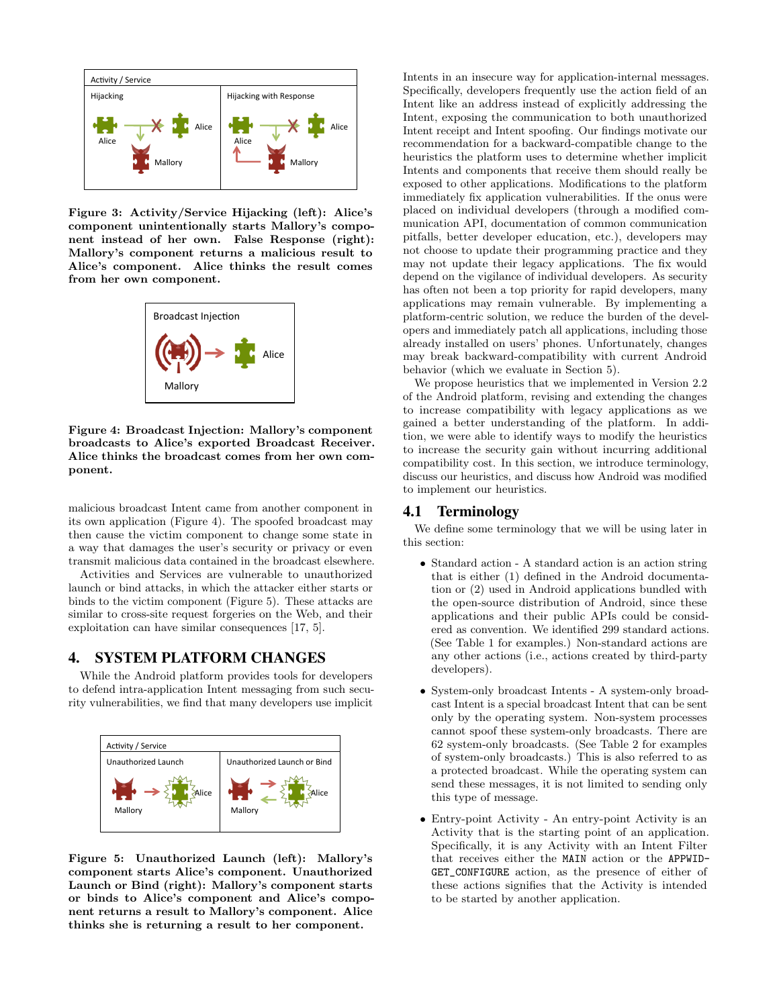

Alice's component. Alice thinks the result comes Mallory's component returns a malicious result to Figure 3: Activity/Service Hijacking (left): Alice's component unintentionally starts Mallory's component instead of her own. False Response (right):  ${\rm from\,\, her\,\, own\,\, component.}$ 



Figure 4: Broadcast Injection: Mallory's component broadcasts to Alice's exported Broadcast Receiver. Alice thinks the broadcast comes from her own component.

malicious broadcast Intent came from another component in its own application (Figure 4). The spoofed broadcast may then cause the victim component to change some state in a way that damages the user's security or privacy or even transmit malicious data contained in the broadcast elsewhere.

Activities and Services are vulnerable to unauthorized launch or bind attacks, in which the attacker either starts or hinds to the victim component (Figure 5). These attacks are binds to the victim component (Figure 5). similar to cross-site request forgeries on the Web, and their  $explotation can have similar consequences [17, 5].$ 

# 4. SYSTEM PLATFORM CHANGES

While the Android platform provides tools for developers to defend intra-application Intent messaging from such security vulnerabilities, we find that many developers use implicit



Figure 5: Unauthorized Launch (left): Mallory's component starts Alice's component. Unauthorized Launch or Bind (right): Mallory's component starts or binds to Alice's component and Alice's component returns a result to Mallory's component. Alice thinks she is returning a result to her component.

nas onen not been a top priority for rapid developers, many<br>applications may remain vulnerable. By implementing a  $\left| \right|$   $\frac{1}{2}$   $\left| \right|$   $\frac{1}{2}$   $\left| \right|$   $\left| \right|$   $\frac{1}{2}$   $\left| \right|$   $\left| \right|$   $\frac{1}{2}$   $\left| \right|$   $\left| \right|$   $\frac{1}{2}$   $\left| \right|$   $\left| \right|$   $\frac{1}{2}$   $\left| \right|$   $\left| \right|$   $\frac{1}{2}$   $\left| \right|$   $\frac{1}{2}$   $\left| \right|$   $\frac{1}{2}$   $\left| \$ Intent, expecting the communication to bean distancement.<br>Intent receipt and Intent spoofing. Our findings motivate our Intents in an insecure way for application-internal messages. immediately fix application vulnerabilities. If the onus were Intents and components that receive them should really be recommendation for a backward-compatible change to the platform-centric solution, we reduce the burden of the develmay break backward-compatibility with current Android depend on the vigilance of individual developers. As security Intent like an address instead of explicitly addressing the Intent, exposing the communication to both unauthorized heuristics the platform uses to determine whether implicit exposed to other applications. Modifications to the platform placed on individual developers (through a modified communication API, documentation of common communication pitfalls, better developer education, etc.), developers may not choose to update their programming practice and they may not update their legacy applications. The fix would has often not been a top priority for rapid developers, many opers and immediately patch all applications, including those already installed on users' phones. Unfortunately, changes behavior (which we evaluate in Section 5).

of the Android platform, revising and extending the changes mavior (winch we evaluate in Section 3).<br>We propose heuristics that we implemented in Version 2.2 to increase compatibility with legacy applications as we gained a better understanding of the platform. In addition, we were able to identify ways to modify the heuristics to increase the security gain without incurring additional compatibility cost. In this section, we introduce terminology, discuss our heuristics, and discuss how Android was modified to implement our heuristics.

### 4.1 Terminology

We define some terminology that we will be using later in this section:

- Standard action A standard action is an action string that is either (1) defined in the Android documentation or (2) used in Android applications bundled with the open-source distribution of Android, since these applications and their public APIs could be considered as convention. We identified 299 standard actions. (See Table 1 for examples.) Non-standard actions are any other actions (i.e., actions created by third-party developers).
- System-only broadcast Intents A system-only broadcast Intent is a special broadcast Intent that can be sent only by the operating system. Non-system processes cannot spoof these system-only broadcasts. There are 62 system-only broadcasts. (See Table 2 for examples of system-only broadcasts.) This is also referred to as a protected broadcast. While the operating system can send these messages, it is not limited to sending only this type of message.
- Entry-point Activity An entry-point Activity is an Activity that is the starting point of an application. Specifically, it is any Activity with an Intent Filter that receives either the MAIN action or the APPWID-GET\_CONFIGURE action, as the presence of either of these actions signifies that the Activity is intended to be started by another application.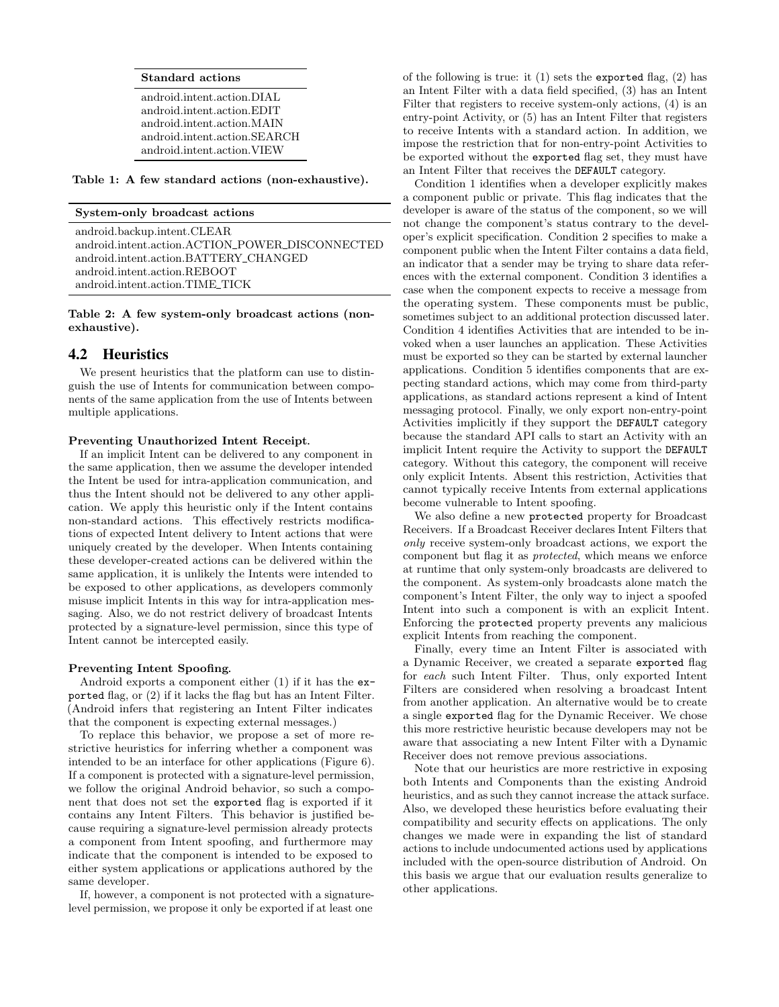#### Standard actions

android.intent.action.DIAL android.intent.action.EDIT android.intent.action.MAIN android.intent.action.SEARCH android.intent.action.VIEW

#### Table 1: A few standard actions (non-exhaustive).

#### System-only broadcast actions

android.backup.intent.CLEAR android.intent.action.ACTION POWER DISCONNECTED android.intent.action.BATTERY CHANGED android.intent.action.REBOOT android.intent.action.TIME TICK

#### Table 2: A few system-only broadcast actions (nonexhaustive).

#### 4.2 Heuristics

We present heuristics that the platform can use to distinguish the use of Intents for communication between components of the same application from the use of Intents between multiple applications.

#### Preventing Unauthorized Intent Receipt*.*

If an implicit Intent can be delivered to any component in the same application, then we assume the developer intended the Intent be used for intra-application communication, and thus the Intent should not be delivered to any other application. We apply this heuristic only if the Intent contains non-standard actions. This effectively restricts modifications of expected Intent delivery to Intent actions that were uniquely created by the developer. When Intents containing these developer-created actions can be delivered within the same application, it is unlikely the Intents were intended to be exposed to other applications, as developers commonly misuse implicit Intents in this way for intra-application messaging. Also, we do not restrict delivery of broadcast Intents protected by a signature-level permission, since this type of Intent cannot be intercepted easily.

#### Preventing Intent Spoofing*.*

Android exports a component either  $(1)$  if it has the exported flag, or (2) if it lacks the flag but has an Intent Filter. (Android infers that registering an Intent Filter indicates that the component is expecting external messages.)

To replace this behavior, we propose a set of more restrictive heuristics for inferring whether a component was intended to be an interface for other applications (Figure 6). If a component is protected with a signature-level permission, we follow the original Android behavior, so such a component that does not set the exported flag is exported if it contains any Intent Filters. This behavior is justified because requiring a signature-level permission already protects a component from Intent spoofing, and furthermore may indicate that the component is intended to be exposed to either system applications or applications authored by the same developer.

If, however, a component is not protected with a signaturelevel permission, we propose it only be exported if at least one

of the following is true: it  $(1)$  sets the exported flag,  $(2)$  has an Intent Filter with a data field specified, (3) has an Intent Filter that registers to receive system-only actions,  $(4)$  is an entry-point Activity, or (5) has an Intent Filter that registers to receive Intents with a standard action. In addition, we impose the restriction that for non-entry-point Activities to be exported without the exported flag set, they must have an Intent Filter that receives the DEFAULT category.

Condition 1 identifies when a developer explicitly makes a component public or private. This flag indicates that the developer is aware of the status of the component, so we will not change the component's status contrary to the developer's explicit specification. Condition 2 specifies to make a component public when the Intent Filter contains a data field, an indicator that a sender may be trying to share data references with the external component. Condition 3 identifies a case when the component expects to receive a message from the operating system. These components must be public, sometimes subject to an additional protection discussed later. Condition 4 identifies Activities that are intended to be invoked when a user launches an application. These Activities must be exported so they can be started by external launcher applications. Condition 5 identifies components that are expecting standard actions, which may come from third-party applications, as standard actions represent a kind of Intent messaging protocol. Finally, we only export non-entry-point Activities implicitly if they support the DEFAULT category because the standard API calls to start an Activity with an implicit Intent require the Activity to support the DEFAULT category. Without this category, the component will receive only explicit Intents. Absent this restriction, Activities that cannot typically receive Intents from external applications become vulnerable to Intent spoofing.

We also define a new protected property for Broadcast Receivers. If a Broadcast Receiver declares Intent Filters that only receive system-only broadcast actions, we export the component but flag it as protected, which means we enforce at runtime that only system-only broadcasts are delivered to the component. As system-only broadcasts alone match the component's Intent Filter, the only way to inject a spoofed Intent into such a component is with an explicit Intent. Enforcing the protected property prevents any malicious explicit Intents from reaching the component.

Finally, every time an Intent Filter is associated with a Dynamic Receiver, we created a separate exported flag for each such Intent Filter. Thus, only exported Intent Filters are considered when resolving a broadcast Intent from another application. An alternative would be to create a single exported flag for the Dynamic Receiver. We chose this more restrictive heuristic because developers may not be aware that associating a new Intent Filter with a Dynamic Receiver does not remove previous associations.

Note that our heuristics are more restrictive in exposing both Intents and Components than the existing Android heuristics, and as such they cannot increase the attack surface. Also, we developed these heuristics before evaluating their compatibility and security effects on applications. The only changes we made were in expanding the list of standard actions to include undocumented actions used by applications included with the open-source distribution of Android. On this basis we argue that our evaluation results generalize to other applications.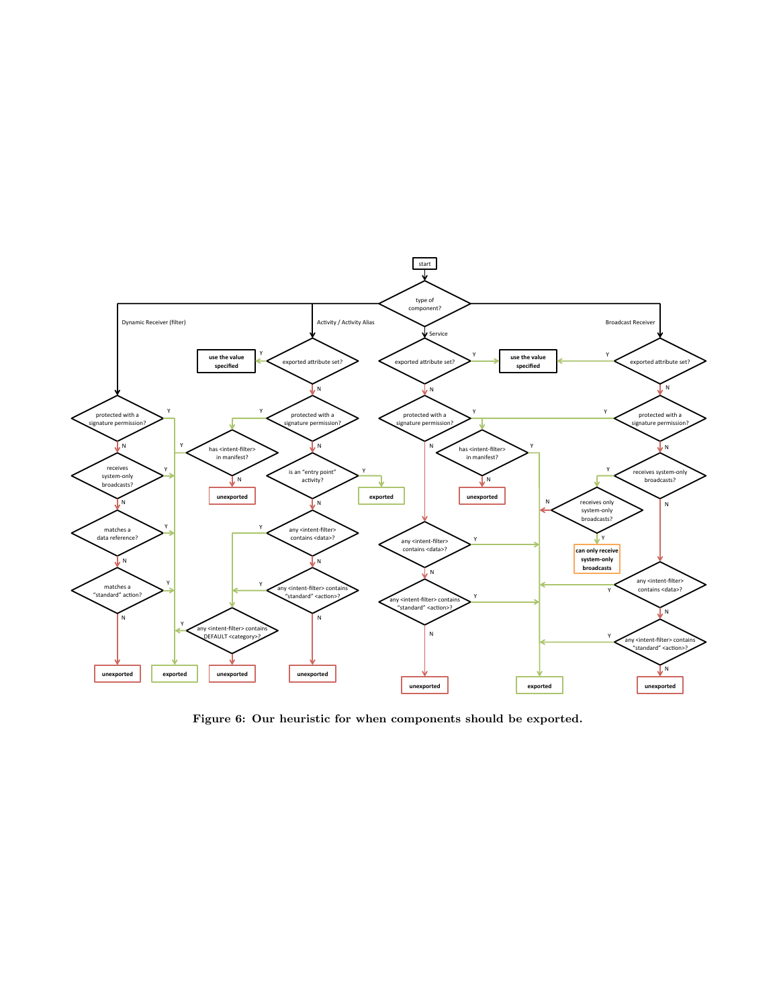

Figure 6: Our heuristic for when components should be exported.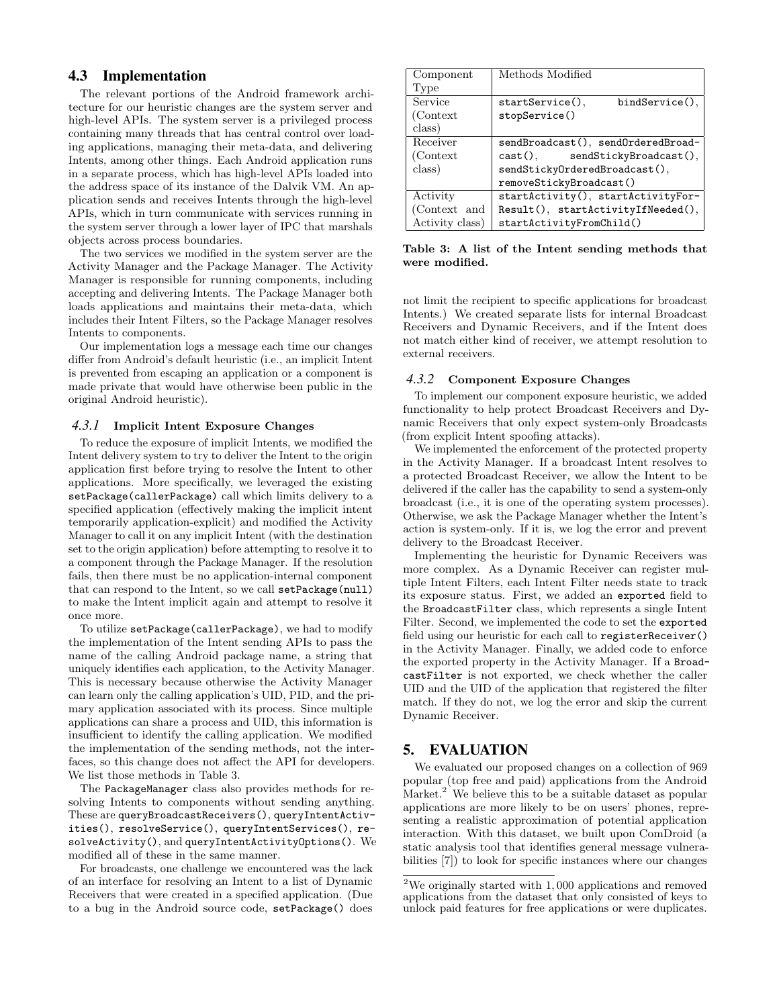## 4.3 Implementation

The relevant portions of the Android framework architecture for our heuristic changes are the system server and high-level APIs. The system server is a privileged process containing many threads that has central control over loading applications, managing their meta-data, and delivering Intents, among other things. Each Android application runs in a separate process, which has high-level APIs loaded into the address space of its instance of the Dalvik VM. An application sends and receives Intents through the high-level APIs, which in turn communicate with services running in the system server through a lower layer of IPC that marshals objects across process boundaries.

The two services we modified in the system server are the Activity Manager and the Package Manager. The Activity Manager is responsible for running components, including accepting and delivering Intents. The Package Manager both loads applications and maintains their meta-data, which includes their Intent Filters, so the Package Manager resolves Intents to components.

Our implementation logs a message each time our changes differ from Android's default heuristic (i.e., an implicit Intent is prevented from escaping an application or a component is made private that would have otherwise been public in the original Android heuristic).

#### *4.3.1* Implicit Intent Exposure Changes

To reduce the exposure of implicit Intents, we modified the Intent delivery system to try to deliver the Intent to the origin application first before trying to resolve the Intent to other applications. More specifically, we leveraged the existing setPackage(callerPackage) call which limits delivery to a specified application (effectively making the implicit intent temporarily application-explicit) and modified the Activity Manager to call it on any implicit Intent (with the destination set to the origin application) before attempting to resolve it to a component through the Package Manager. If the resolution fails, then there must be no application-internal component that can respond to the Intent, so we call setPackage(null) to make the Intent implicit again and attempt to resolve it once more.

To utilize setPackage(callerPackage), we had to modify the implementation of the Intent sending APIs to pass the name of the calling Android package name, a string that uniquely identifies each application, to the Activity Manager. This is necessary because otherwise the Activity Manager can learn only the calling application's UID, PID, and the primary application associated with its process. Since multiple applications can share a process and UID, this information is insufficient to identify the calling application. We modified the implementation of the sending methods, not the interfaces, so this change does not affect the API for developers. We list those methods in Table 3.

The PackageManager class also provides methods for resolving Intents to components without sending anything. These are queryBroadcastReceivers(), queryIntentActivities(), resolveService(), queryIntentServices(), resolveActivity(), and queryIntentActivityOptions(). We modified all of these in the same manner.

For broadcasts, one challenge we encountered was the lack of an interface for resolving an Intent to a list of Dynamic Receivers that were created in a specified application. (Due to a bug in the Android source code, setPackage() does

| Component       | Methods Modified                     |  |
|-----------------|--------------------------------------|--|
| Type            |                                      |  |
| Service         | $bindService()$ .<br>startService(), |  |
| (Context)       | stopService()                        |  |
| class)          |                                      |  |
| Receiver        | sendBroadcast(), sendOrderedBroad-   |  |
| (Context)       | sendStickyBroadcast(),<br>cast().    |  |
| class)          | sendStickyOrderedBroadcast(),        |  |
|                 | removeStickyBroadcast()              |  |
| Activity        | startActivity(), startActivityFor-   |  |
| (Context and    | Result(), startActivityIfNeeded(),   |  |
| Activity class) | startActivityFromChild()             |  |

Table 3: A list of the Intent sending methods that were modified.

not limit the recipient to specific applications for broadcast Intents.) We created separate lists for internal Broadcast Receivers and Dynamic Receivers, and if the Intent does not match either kind of receiver, we attempt resolution to external receivers.

#### *4.3.2* Component Exposure Changes

To implement our component exposure heuristic, we added functionality to help protect Broadcast Receivers and Dynamic Receivers that only expect system-only Broadcasts (from explicit Intent spoofing attacks).

We implemented the enforcement of the protected property in the Activity Manager. If a broadcast Intent resolves to a protected Broadcast Receiver, we allow the Intent to be delivered if the caller has the capability to send a system-only broadcast (i.e., it is one of the operating system processes). Otherwise, we ask the Package Manager whether the Intent's action is system-only. If it is, we log the error and prevent delivery to the Broadcast Receiver.

Implementing the heuristic for Dynamic Receivers was more complex. As a Dynamic Receiver can register multiple Intent Filters, each Intent Filter needs state to track its exposure status. First, we added an exported field to the BroadcastFilter class, which represents a single Intent Filter. Second, we implemented the code to set the exported field using our heuristic for each call to registerReceiver() in the Activity Manager. Finally, we added code to enforce the exported property in the Activity Manager. If a BroadcastFilter is not exported, we check whether the caller UID and the UID of the application that registered the filter match. If they do not, we log the error and skip the current Dynamic Receiver.

# 5. EVALUATION

We evaluated our proposed changes on a collection of 969 popular (top free and paid) applications from the Android Market.<sup>2</sup> We believe this to be a suitable dataset as popular applications are more likely to be on users' phones, representing a realistic approximation of potential application interaction. With this dataset, we built upon ComDroid (a static analysis tool that identifies general message vulnerabilities [7]) to look for specific instances where our changes

 $^{2}\mathrm{We}$  originally started with 1,000 applications and removed applications from the dataset that only consisted of keys to unlock paid features for free applications or were duplicates.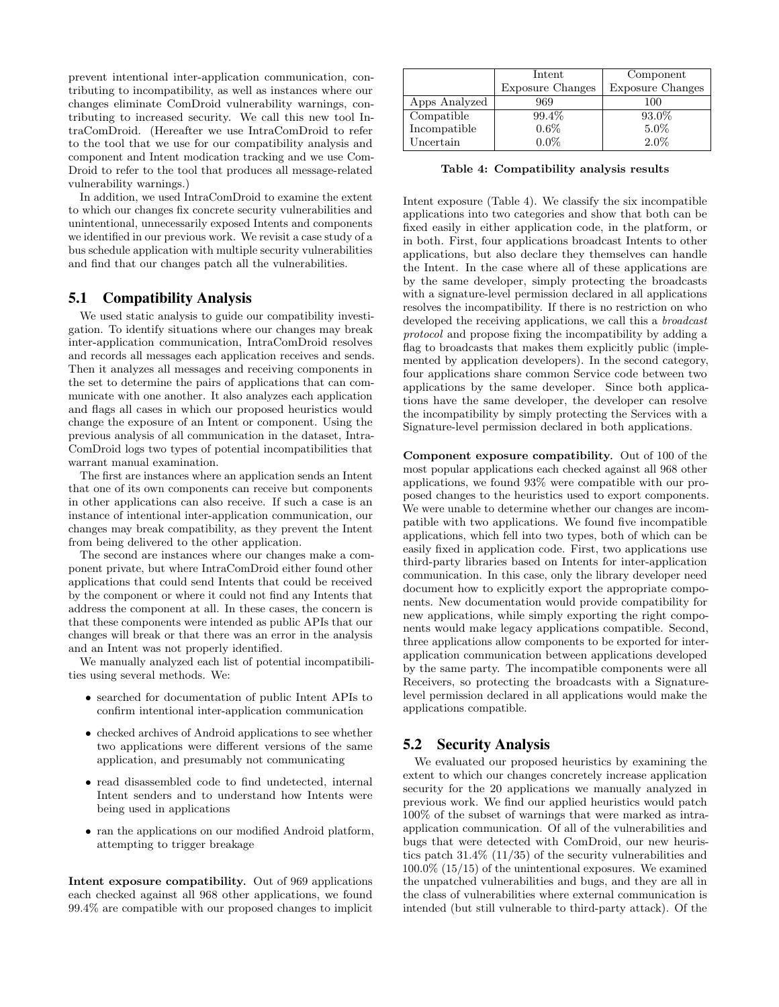prevent intentional inter-application communication, contributing to incompatibility, as well as instances where our changes eliminate ComDroid vulnerability warnings, contributing to increased security. We call this new tool IntraComDroid. (Hereafter we use IntraComDroid to refer to the tool that we use for our compatibility analysis and component and Intent modication tracking and we use Com-Droid to refer to the tool that produces all message-related vulnerability warnings.)

In addition, we used IntraComDroid to examine the extent to which our changes fix concrete security vulnerabilities and unintentional, unnecessarily exposed Intents and components we identified in our previous work. We revisit a case study of a bus schedule application with multiple security vulnerabilities and find that our changes patch all the vulnerabilities.

#### 5.1 Compatibility Analysis

We used static analysis to guide our compatibility investigation. To identify situations where our changes may break inter-application communication, IntraComDroid resolves and records all messages each application receives and sends. Then it analyzes all messages and receiving components in the set to determine the pairs of applications that can communicate with one another. It also analyzes each application and flags all cases in which our proposed heuristics would change the exposure of an Intent or component. Using the previous analysis of all communication in the dataset, Intra-ComDroid logs two types of potential incompatibilities that warrant manual examination.

The first are instances where an application sends an Intent that one of its own components can receive but components in other applications can also receive. If such a case is an instance of intentional inter-application communication, our changes may break compatibility, as they prevent the Intent from being delivered to the other application.

The second are instances where our changes make a component private, but where IntraComDroid either found other applications that could send Intents that could be received by the component or where it could not find any Intents that address the component at all. In these cases, the concern is that these components were intended as public APIs that our changes will break or that there was an error in the analysis and an Intent was not properly identified.

We manually analyzed each list of potential incompatibilities using several methods. We:

- searched for documentation of public Intent APIs to confirm intentional inter-application communication
- checked archives of Android applications to see whether two applications were different versions of the same application, and presumably not communicating
- read disassembled code to find undetected, internal Intent senders and to understand how Intents were being used in applications
- ran the applications on our modified Android platform, attempting to trigger breakage

Intent exposure compatibility*.* Out of 969 applications each checked against all 968 other applications, we found 99.4% are compatible with our proposed changes to implicit

|               | Intent                  | Component               |
|---------------|-------------------------|-------------------------|
|               |                         |                         |
|               | <b>Exposure Changes</b> | <b>Exposure Changes</b> |
| Apps Analyzed | 969                     | 100                     |
| Compatible    | 99.4%                   | 93.0%                   |
| Incompatible  | $0.6\%$                 | 5.0%                    |
| Uncertain     | $0.0\%$                 | 2.0%                    |

Table 4: Compatibility analysis results

Intent exposure (Table 4). We classify the six incompatible applications into two categories and show that both can be fixed easily in either application code, in the platform, or in both. First, four applications broadcast Intents to other applications, but also declare they themselves can handle the Intent. In the case where all of these applications are by the same developer, simply protecting the broadcasts with a signature-level permission declared in all applications resolves the incompatibility. If there is no restriction on who developed the receiving applications, we call this a *broadcast* protocol and propose fixing the incompatibility by adding a flag to broadcasts that makes them explicitly public (implemented by application developers). In the second category, four applications share common Service code between two applications by the same developer. Since both applications have the same developer, the developer can resolve the incompatibility by simply protecting the Services with a Signature-level permission declared in both applications.

Component exposure compatibility*.* Out of 100 of the most popular applications each checked against all 968 other applications, we found 93% were compatible with our proposed changes to the heuristics used to export components. We were unable to determine whether our changes are incompatible with two applications. We found five incompatible applications, which fell into two types, both of which can be easily fixed in application code. First, two applications use third-party libraries based on Intents for inter-application communication. In this case, only the library developer need document how to explicitly export the appropriate components. New documentation would provide compatibility for new applications, while simply exporting the right components would make legacy applications compatible. Second, three applications allow components to be exported for interapplication communication between applications developed by the same party. The incompatible components were all Receivers, so protecting the broadcasts with a Signaturelevel permission declared in all applications would make the applications compatible.

### 5.2 Security Analysis

We evaluated our proposed heuristics by examining the extent to which our changes concretely increase application security for the 20 applications we manually analyzed in previous work. We find our applied heuristics would patch 100% of the subset of warnings that were marked as intraapplication communication. Of all of the vulnerabilities and bugs that were detected with ComDroid, our new heuristics patch 31.4% (11/35) of the security vulnerabilities and 100.0% (15/15) of the unintentional exposures. We examined the unpatched vulnerabilities and bugs, and they are all in the class of vulnerabilities where external communication is intended (but still vulnerable to third-party attack). Of the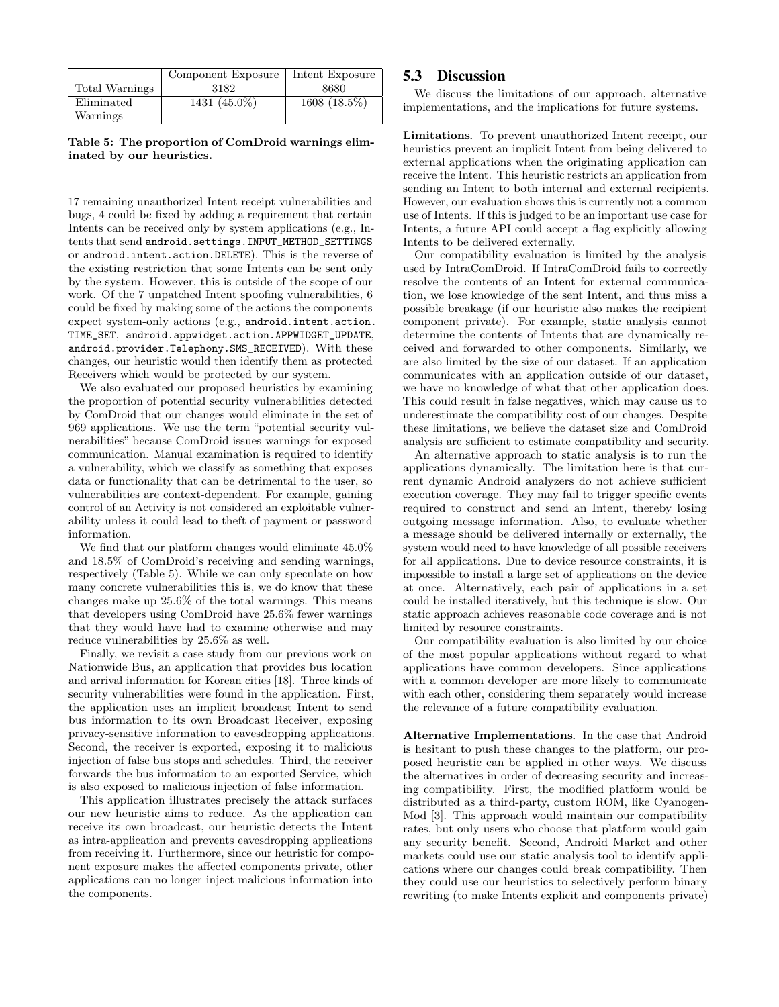|                | Component Exposure | Intent Exposure |
|----------------|--------------------|-----------------|
| Total Warnings | 3182               | 8680            |
| Eliminated     | 1431 (45.0%)       | $1608(18.5\%)$  |
| Warnings       |                    |                 |

Table 5: The proportion of ComDroid warnings eliminated by our heuristics.

17 remaining unauthorized Intent receipt vulnerabilities and bugs, 4 could be fixed by adding a requirement that certain Intents can be received only by system applications (e.g., Intents that send android.settings.INPUT\_METHOD\_SETTINGS or android.intent.action.DELETE). This is the reverse of the existing restriction that some Intents can be sent only by the system. However, this is outside of the scope of our work. Of the 7 unpatched Intent spoofing vulnerabilities, 6 could be fixed by making some of the actions the components expect system-only actions (e.g., android.intent.action. TIME\_SET, android.appwidget.action.APPWIDGET\_UPDATE, android.provider.Telephony.SMS\_RECEIVED). With these changes, our heuristic would then identify them as protected Receivers which would be protected by our system.

We also evaluated our proposed heuristics by examining the proportion of potential security vulnerabilities detected by ComDroid that our changes would eliminate in the set of 969 applications. We use the term "potential security vulnerabilities" because ComDroid issues warnings for exposed communication. Manual examination is required to identify a vulnerability, which we classify as something that exposes data or functionality that can be detrimental to the user, so vulnerabilities are context-dependent. For example, gaining control of an Activity is not considered an exploitable vulnerability unless it could lead to theft of payment or password information.

We find that our platform changes would eliminate 45.0% and 18.5% of ComDroid's receiving and sending warnings, respectively (Table 5). While we can only speculate on how many concrete vulnerabilities this is, we do know that these changes make up 25.6% of the total warnings. This means that developers using ComDroid have 25.6% fewer warnings that they would have had to examine otherwise and may reduce vulnerabilities by 25.6% as well.

Finally, we revisit a case study from our previous work on Nationwide Bus, an application that provides bus location and arrival information for Korean cities [18]. Three kinds of security vulnerabilities were found in the application. First, the application uses an implicit broadcast Intent to send bus information to its own Broadcast Receiver, exposing privacy-sensitive information to eavesdropping applications. Second, the receiver is exported, exposing it to malicious injection of false bus stops and schedules. Third, the receiver forwards the bus information to an exported Service, which is also exposed to malicious injection of false information.

This application illustrates precisely the attack surfaces our new heuristic aims to reduce. As the application can receive its own broadcast, our heuristic detects the Intent as intra-application and prevents eavesdropping applications from receiving it. Furthermore, since our heuristic for component exposure makes the affected components private, other applications can no longer inject malicious information into the components.

# 5.3 Discussion

We discuss the limitations of our approach, alternative implementations, and the implications for future systems.

Limitations*.* To prevent unauthorized Intent receipt, our heuristics prevent an implicit Intent from being delivered to external applications when the originating application can receive the Intent. This heuristic restricts an application from sending an Intent to both internal and external recipients. However, our evaluation shows this is currently not a common use of Intents. If this is judged to be an important use case for Intents, a future API could accept a flag explicitly allowing Intents to be delivered externally.

Our compatibility evaluation is limited by the analysis used by IntraComDroid. If IntraComDroid fails to correctly resolve the contents of an Intent for external communication, we lose knowledge of the sent Intent, and thus miss a possible breakage (if our heuristic also makes the recipient component private). For example, static analysis cannot determine the contents of Intents that are dynamically received and forwarded to other components. Similarly, we are also limited by the size of our dataset. If an application communicates with an application outside of our dataset, we have no knowledge of what that other application does. This could result in false negatives, which may cause us to underestimate the compatibility cost of our changes. Despite these limitations, we believe the dataset size and ComDroid analysis are sufficient to estimate compatibility and security.

An alternative approach to static analysis is to run the applications dynamically. The limitation here is that current dynamic Android analyzers do not achieve sufficient execution coverage. They may fail to trigger specific events required to construct and send an Intent, thereby losing outgoing message information. Also, to evaluate whether a message should be delivered internally or externally, the system would need to have knowledge of all possible receivers for all applications. Due to device resource constraints, it is impossible to install a large set of applications on the device at once. Alternatively, each pair of applications in a set could be installed iteratively, but this technique is slow. Our static approach achieves reasonable code coverage and is not limited by resource constraints.

Our compatibility evaluation is also limited by our choice of the most popular applications without regard to what applications have common developers. Since applications with a common developer are more likely to communicate with each other, considering them separately would increase the relevance of a future compatibility evaluation.

Alternative Implementations*.* In the case that Android is hesitant to push these changes to the platform, our proposed heuristic can be applied in other ways. We discuss the alternatives in order of decreasing security and increasing compatibility. First, the modified platform would be distributed as a third-party, custom ROM, like Cyanogen-Mod [3]. This approach would maintain our compatibility rates, but only users who choose that platform would gain any security benefit. Second, Android Market and other markets could use our static analysis tool to identify applications where our changes could break compatibility. Then they could use our heuristics to selectively perform binary rewriting (to make Intents explicit and components private)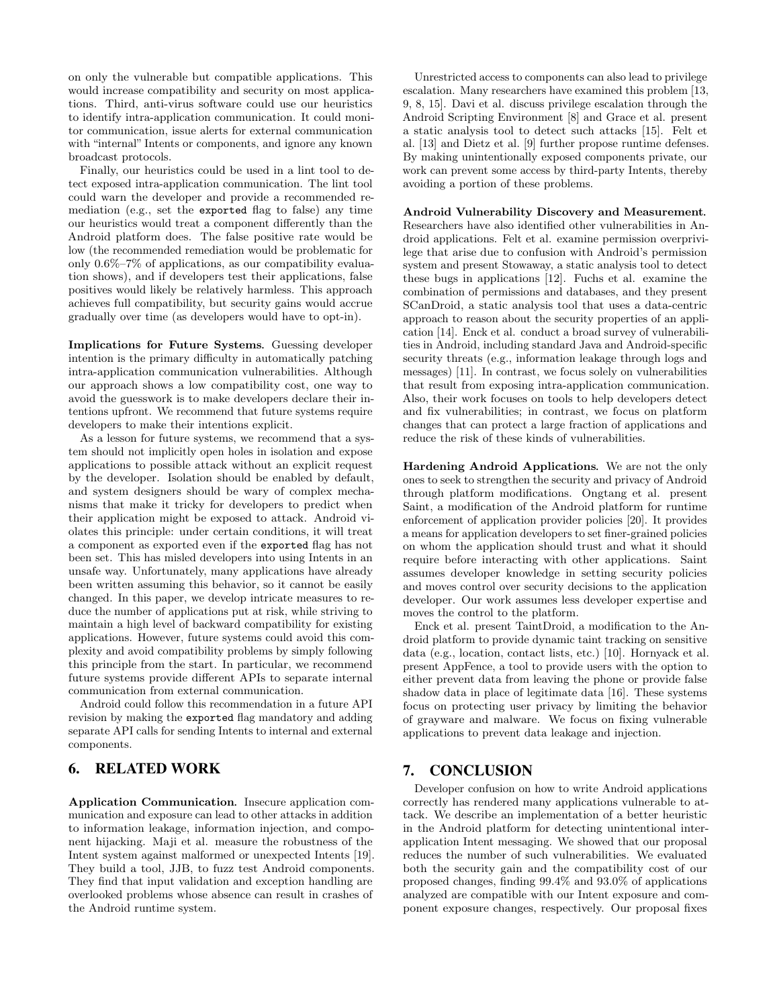on only the vulnerable but compatible applications. This would increase compatibility and security on most applications. Third, anti-virus software could use our heuristics to identify intra-application communication. It could monitor communication, issue alerts for external communication with "internal" Intents or components, and ignore any known broadcast protocols.

Finally, our heuristics could be used in a lint tool to detect exposed intra-application communication. The lint tool could warn the developer and provide a recommended remediation (e.g., set the exported flag to false) any time our heuristics would treat a component differently than the Android platform does. The false positive rate would be low (the recommended remediation would be problematic for only 0.6%–7% of applications, as our compatibility evaluation shows), and if developers test their applications, false positives would likely be relatively harmless. This approach achieves full compatibility, but security gains would accrue gradually over time (as developers would have to opt-in).

Implications for Future Systems*.* Guessing developer intention is the primary difficulty in automatically patching intra-application communication vulnerabilities. Although our approach shows a low compatibility cost, one way to avoid the guesswork is to make developers declare their intentions upfront. We recommend that future systems require developers to make their intentions explicit.

As a lesson for future systems, we recommend that a system should not implicitly open holes in isolation and expose applications to possible attack without an explicit request by the developer. Isolation should be enabled by default, and system designers should be wary of complex mechanisms that make it tricky for developers to predict when their application might be exposed to attack. Android violates this principle: under certain conditions, it will treat a component as exported even if the exported flag has not been set. This has misled developers into using Intents in an unsafe way. Unfortunately, many applications have already been written assuming this behavior, so it cannot be easily changed. In this paper, we develop intricate measures to reduce the number of applications put at risk, while striving to maintain a high level of backward compatibility for existing applications. However, future systems could avoid this complexity and avoid compatibility problems by simply following this principle from the start. In particular, we recommend future systems provide different APIs to separate internal communication from external communication.

Android could follow this recommendation in a future API revision by making the exported flag mandatory and adding separate API calls for sending Intents to internal and external components.

# 6. RELATED WORK

Application Communication*.* Insecure application communication and exposure can lead to other attacks in addition to information leakage, information injection, and component hijacking. Maji et al. measure the robustness of the Intent system against malformed or unexpected Intents [19]. They build a tool, JJB, to fuzz test Android components. They find that input validation and exception handling are overlooked problems whose absence can result in crashes of the Android runtime system.

Unrestricted access to components can also lead to privilege escalation. Many researchers have examined this problem [13, 9, 8, 15]. Davi et al. discuss privilege escalation through the Android Scripting Environment [8] and Grace et al. present a static analysis tool to detect such attacks [15]. Felt et al. [13] and Dietz et al. [9] further propose runtime defenses. By making unintentionally exposed components private, our work can prevent some access by third-party Intents, thereby avoiding a portion of these problems.

Android Vulnerability Discovery and Measurement*.* Researchers have also identified other vulnerabilities in Android applications. Felt et al. examine permission overprivilege that arise due to confusion with Android's permission system and present Stowaway, a static analysis tool to detect these bugs in applications [12]. Fuchs et al. examine the combination of permissions and databases, and they present SCanDroid, a static analysis tool that uses a data-centric approach to reason about the security properties of an application [14]. Enck et al. conduct a broad survey of vulnerabilities in Android, including standard Java and Android-specific security threats (e.g., information leakage through logs and messages) [11]. In contrast, we focus solely on vulnerabilities that result from exposing intra-application communication. Also, their work focuses on tools to help developers detect and fix vulnerabilities; in contrast, we focus on platform changes that can protect a large fraction of applications and reduce the risk of these kinds of vulnerabilities.

Hardening Android Applications*.* We are not the only ones to seek to strengthen the security and privacy of Android through platform modifications. Ongtang et al. present Saint, a modification of the Android platform for runtime enforcement of application provider policies [20]. It provides a means for application developers to set finer-grained policies on whom the application should trust and what it should require before interacting with other applications. Saint assumes developer knowledge in setting security policies and moves control over security decisions to the application developer. Our work assumes less developer expertise and moves the control to the platform.

Enck et al. present TaintDroid, a modification to the Android platform to provide dynamic taint tracking on sensitive data (e.g., location, contact lists, etc.) [10]. Hornyack et al. present AppFence, a tool to provide users with the option to either prevent data from leaving the phone or provide false shadow data in place of legitimate data [16]. These systems focus on protecting user privacy by limiting the behavior of grayware and malware. We focus on fixing vulnerable applications to prevent data leakage and injection.

# 7. CONCLUSION

Developer confusion on how to write Android applications correctly has rendered many applications vulnerable to attack. We describe an implementation of a better heuristic in the Android platform for detecting unintentional interapplication Intent messaging. We showed that our proposal reduces the number of such vulnerabilities. We evaluated both the security gain and the compatibility cost of our proposed changes, finding 99.4% and 93.0% of applications analyzed are compatible with our Intent exposure and component exposure changes, respectively. Our proposal fixes